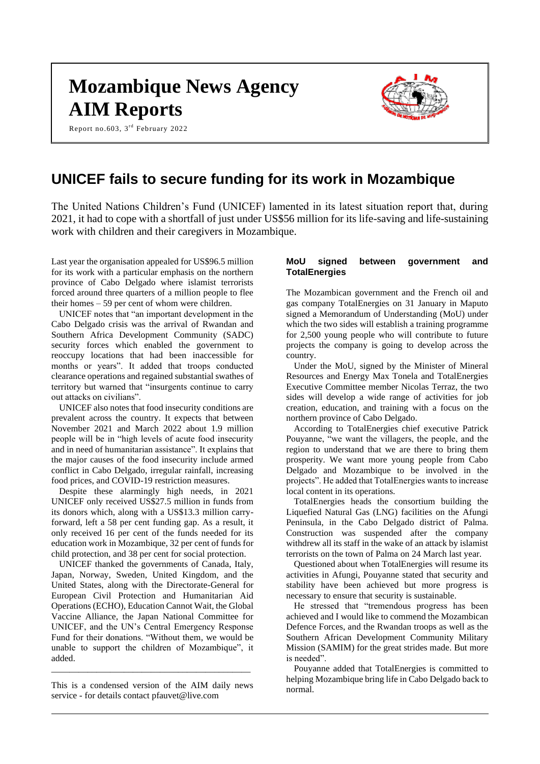# **Mozambique News Agency AIM Reports**

Report no.603, 3<sup>rd</sup> February 2022



# **UNICEF fails to secure funding for its work in Mozambique**

The United Nations Children's Fund (UNICEF) lamented in its latest situation report that, during 2021, it had to cope with a shortfall of just under US\$56 million for its life-saving and life-sustaining work with children and their caregivers in Mozambique.

Last year the organisation appealed for US\$96.5 million for its work with a particular emphasis on the northern province of Cabo Delgado where islamist terrorists forced around three quarters of a million people to flee their homes – 59 per cent of whom were children.

UNICEF notes that "an important development in the Cabo Delgado crisis was the arrival of Rwandan and Southern Africa Development Community (SADC) security forces which enabled the government to reoccupy locations that had been inaccessible for months or years". It added that troops conducted clearance operations and regained substantial swathes of territory but warned that "insurgents continue to carry out attacks on civilians".

UNICEF also notes that food insecurity conditions are prevalent across the country. It expects that between November 2021 and March 2022 about 1.9 million people will be in "high levels of acute food insecurity and in need of humanitarian assistance". It explains that the major causes of the food insecurity include armed conflict in Cabo Delgado, irregular rainfall, increasing food prices, and COVID-19 restriction measures.

Despite these alarmingly high needs, in 2021 UNICEF only received US\$27.5 million in funds from its donors which, along with a US\$13.3 million carryforward, left a 58 per cent funding gap. As a result, it only received 16 per cent of the funds needed for its education work in Mozambique, 32 per cent of funds for child protection, and 38 per cent for social protection.

UNICEF thanked the governments of Canada, Italy, Japan, Norway, Sweden, United Kingdom, and the United States, along with the Directorate-General for European Civil Protection and Humanitarian Aid Operations (ECHO), Education Cannot Wait, the Global Vaccine Alliance, the Japan National Committee for UNICEF, and the UN's Central Emergency Response Fund for their donations. "Without them, we would be unable to support the children of Mozambique", it added.

This is a condensed version of the AIM daily news service - for details contact pfauvet@live.com

\_\_\_\_\_\_\_\_\_\_\_\_\_\_\_\_\_\_\_\_\_\_\_\_\_\_\_\_\_\_\_\_\_\_\_\_\_\_\_\_\_\_\_\_

#### **MoU signed between government and TotalEnergies**

The Mozambican government and the French oil and gas company TotalEnergies on 31 January in Maputo signed a Memorandum of Understanding (MoU) under which the two sides will establish a training programme for 2,500 young people who will contribute to future projects the company is going to develop across the country.

Under the MoU, signed by the Minister of Mineral Resources and Energy Max Tonela and TotalEnergies Executive Committee member Nicolas Terraz, the two sides will develop a wide range of activities for job creation, education, and training with a focus on the northern province of Cabo Delgado.

According to TotalEnergies chief executive Patrick Pouyanne, "we want the villagers, the people, and the region to understand that we are there to bring them prosperity. We want more young people from Cabo Delgado and Mozambique to be involved in the projects". He added that TotalEnergies wants to increase local content in its operations.

TotalEnergies heads the consortium building the Liquefied Natural Gas (LNG) facilities on the Afungi Peninsula, in the Cabo Delgado district of Palma. Construction was suspended after the company withdrew all its staff in the wake of an attack by islamist terrorists on the town of Palma on 24 March last year.

Questioned about when TotalEnergies will resume its activities in Afungi, Pouyanne stated that security and stability have been achieved but more progress is necessary to ensure that security is sustainable.

He stressed that "tremendous progress has been achieved and I would like to commend the Mozambican Defence Forces, and the Rwandan troops as well as the Southern African Development Community Military Mission (SAMIM) for the great strides made. But more is needed".

Pouyanne added that TotalEnergies is committed to helping Mozambique bring life in Cabo Delgado back to normal.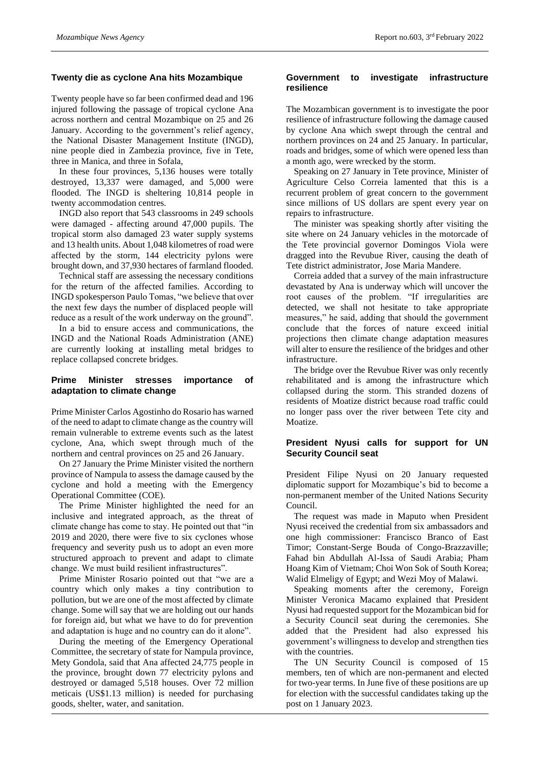#### **Twenty die as cyclone Ana hits Mozambique**

Twenty people have so far been confirmed dead and 196 injured following the passage of tropical cyclone Ana across northern and central Mozambique on 25 and 26 January. According to the government's relief agency, the National Disaster Management Institute (INGD), nine people died in Zambezia province, five in Tete, three in Manica, and three in Sofala,

In these four provinces, 5,136 houses were totally destroyed, 13,337 were damaged, and 5,000 were flooded. The INGD is sheltering 10,814 people in twenty accommodation centres.

INGD also report that 543 classrooms in 249 schools were damaged - affecting around 47,000 pupils. The tropical storm also damaged 23 water supply systems and 13 health units. About 1,048 kilometres of road were affected by the storm, 144 electricity pylons were brought down, and 37,930 hectares of farmland flooded.

Technical staff are assessing the necessary conditions for the return of the affected families. According to INGD spokesperson Paulo Tomas, "we believe that over the next few days the number of displaced people will reduce as a result of the work underway on the ground".

In a bid to ensure access and communications, the INGD and the National Roads Administration (ANE) are currently looking at installing metal bridges to replace collapsed concrete bridges.

# **Prime Minister stresses importance of adaptation to climate change**

Prime Minister Carlos Agostinho do Rosario has warned of the need to adapt to climate change as the country will remain vulnerable to extreme events such as the latest cyclone, Ana, which swept through much of the northern and central provinces on 25 and 26 January.

On 27 January the Prime Minister visited the northern province of Nampula to assess the damage caused by the cyclone and hold a meeting with the Emergency Operational Committee (COE).

The Prime Minister highlighted the need for an inclusive and integrated approach, as the threat of climate change has come to stay. He pointed out that "in 2019 and 2020, there were five to six cyclones whose frequency and severity push us to adopt an even more structured approach to prevent and adapt to climate change. We must build resilient infrastructures".

Prime Minister Rosario pointed out that "we are a country which only makes a tiny contribution to pollution, but we are one of the most affected by climate change. Some will say that we are holding out our hands for foreign aid, but what we have to do for prevention and adaptation is huge and no country can do it alone".

During the meeting of the Emergency Operational Committee, the secretary of state for Nampula province, Mety Gondola, said that Ana affected 24,775 people in the province, brought down 77 electricity pylons and destroyed or damaged 5,518 houses. Over 72 million meticais (US\$1.13 million) is needed for purchasing goods, shelter, water, and sanitation.

#### **Government to investigate infrastructure resilience**

The Mozambican government is to investigate the poor resilience of infrastructure following the damage caused by cyclone Ana which swept through the central and northern provinces on 24 and 25 January. In particular, roads and bridges, some of which were opened less than a month ago, were wrecked by the storm.

Speaking on 27 January in Tete province, Minister of Agriculture Celso Correia lamented that this is a recurrent problem of great concern to the government since millions of US dollars are spent every year on repairs to infrastructure.

The minister was speaking shortly after visiting the site where on 24 January vehicles in the motorcade of the Tete provincial governor Domingos Viola were dragged into the Revubue River, causing the death of Tete district administrator, Jose Maria Mandere.

Correia added that a survey of the main infrastructure devastated by Ana is underway which will uncover the root causes of the problem. "If irregularities are detected, we shall not hesitate to take appropriate measures," he said, adding that should the government conclude that the forces of nature exceed initial projections then climate change adaptation measures will alter to ensure the resilience of the bridges and other infrastructure.

The bridge over the Revubue River was only recently rehabilitated and is among the infrastructure which collapsed during the storm. This stranded dozens of residents of Moatize district because road traffic could no longer pass over the river between Tete city and Moatize.

# **President Nyusi calls for support for UN Security Council seat**

President Filipe Nyusi on 20 January requested diplomatic support for Mozambique's bid to become a non-permanent member of the United Nations Security Council.

The request was made in Maputo when President Nyusi received the credential from six ambassadors and one high commissioner: Francisco Branco of East Timor; Constant-Serge Bouda of Congo-Brazzaville; Fahad bin Abdullah Al-Issa of Saudi Arabia; Pham Hoang Kim of Vietnam; Choi Won Sok of South Korea; Walid Elmeligy of Egypt; and Wezi Moy of Malawi.

Speaking moments after the ceremony, Foreign Minister Veronica Macamo explained that President Nyusi had requested support for the Mozambican bid for a Security Council seat during the ceremonies. She added that the President had also expressed his government's willingness to develop and strengthen ties with the countries.

The UN Security Council is composed of 15 members, ten of which are non-permanent and elected for two-year terms. In June five of these positions are up for election with the successful candidates taking up the post on 1 January 2023.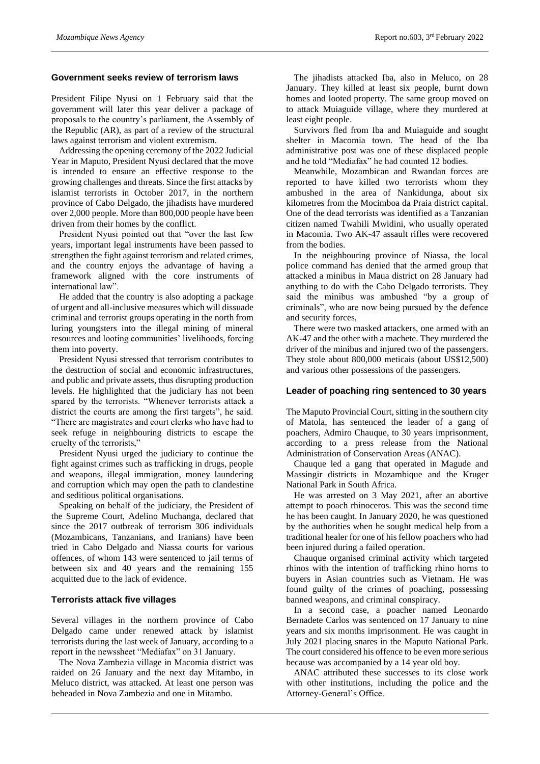#### **Government seeks review of terrorism laws**

President Filipe Nyusi on 1 February said that the government will later this year deliver a package of proposals to the country's parliament, the Assembly of the Republic (AR), as part of a review of the structural laws against terrorism and violent extremism.

Addressing the opening ceremony of the 2022 Judicial Year in Maputo, President Nyusi declared that the move is intended to ensure an effective response to the growing challenges and threats. Since the first attacks by islamist terrorists in October 2017, in the northern province of Cabo Delgado, the jihadists have murdered over 2,000 people. More than 800,000 people have been driven from their homes by the conflict.

President Nyusi pointed out that "over the last few years, important legal instruments have been passed to strengthen the fight against terrorism and related crimes, and the country enjoys the advantage of having a framework aligned with the core instruments of international law".

He added that the country is also adopting a package of urgent and all-inclusive measures which will dissuade criminal and terrorist groups operating in the north from luring youngsters into the illegal mining of mineral resources and looting communities' livelihoods, forcing them into poverty.

President Nyusi stressed that terrorism contributes to the destruction of social and economic infrastructures, and public and private assets, thus disrupting production levels. He highlighted that the judiciary has not been spared by the terrorists. "Whenever terrorists attack a district the courts are among the first targets", he said. "There are magistrates and court clerks who have had to seek refuge in neighbouring districts to escape the cruelty of the terrorists,"

President Nyusi urged the judiciary to continue the fight against crimes such as trafficking in drugs, people and weapons, illegal immigration, money laundering and corruption which may open the path to clandestine and seditious political organisations.

Speaking on behalf of the judiciary, the President of the Supreme Court, Adelino Muchanga, declared that since the 2017 outbreak of terrorism 306 individuals (Mozambicans, Tanzanians, and Iranians) have been tried in Cabo Delgado and Niassa courts for various offences, of whom 143 were sentenced to jail terms of between six and 40 years and the remaining 155 acquitted due to the lack of evidence.

# **Terrorists attack five villages**

Several villages in the northern province of Cabo Delgado came under renewed attack by islamist terrorists during the last week of January, according to a report in the newssheet "Mediafax" on 31 January.

The Nova Zambezia village in Macomia district was raided on 26 January and the next day Mitambo, in Meluco district, was attacked. At least one person was beheaded in Nova Zambezia and one in Mitambo.

The jihadists attacked Iba, also in Meluco, on 28 January. They killed at least six people, burnt down homes and looted property. The same group moved on to attack Muiaguide village, where they murdered at least eight people.

Survivors fled from Iba and Muiaguide and sought shelter in Macomia town. The head of the Iba administrative post was one of these displaced people and he told "Mediafax" he had counted 12 bodies.

Meanwhile, Mozambican and Rwandan forces are reported to have killed two terrorists whom they ambushed in the area of Nankidunga, about six kilometres from the Mocimboa da Praia district capital. One of the dead terrorists was identified as a Tanzanian citizen named Twahili Mwidini, who usually operated in Macomia. Two AK-47 assault rifles were recovered from the bodies.

In the neighbouring province of Niassa, the local police command has denied that the armed group that attacked a minibus in Maua district on 28 January had anything to do with the Cabo Delgado terrorists. They said the minibus was ambushed "by a group of criminals", who are now being pursued by the defence and security forces,

There were two masked attackers, one armed with an AK-47 and the other with a machete. They murdered the driver of the minibus and injured two of the passengers. They stole about 800,000 meticais (about US\$12,500) and various other possessions of the passengers.

#### **Leader of poaching ring sentenced to 30 years**

The Maputo Provincial Court, sitting in the southern city of Matola, has sentenced the leader of a gang of poachers, Admiro Chauque, to 30 years imprisonment, according to a press release from the National Administration of Conservation Areas (ANAC).

Chauque led a gang that operated in Magude and Massingir districts in Mozambique and the Kruger National Park in South Africa.

He was arrested on 3 May 2021, after an abortive attempt to poach rhinoceros. This was the second time he has been caught. In January 2020, he was questioned by the authorities when he sought medical help from a traditional healer for one of his fellow poachers who had been injured during a failed operation.

Chauque organised criminal activity which targeted rhinos with the intention of trafficking rhino horns to buyers in Asian countries such as Vietnam. He was found guilty of the crimes of poaching, possessing banned weapons, and criminal conspiracy.

In a second case, a poacher named Leonardo Bernadete Carlos was sentenced on 17 January to nine years and six months imprisonment. He was caught in July 2021 placing snares in the Maputo National Park. The court considered his offence to be even more serious because was accompanied by a 14 year old boy.

ANAC attributed these successes to its close work with other institutions, including the police and the Attorney-General's Office.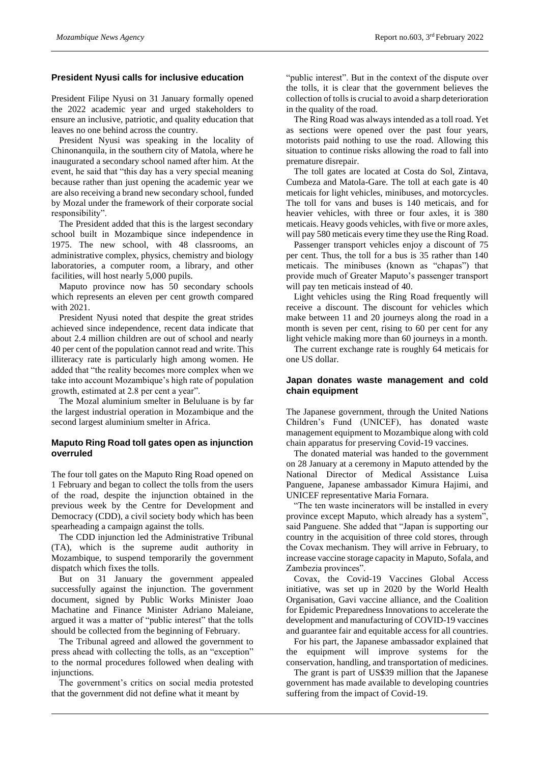#### **President Nyusi calls for inclusive education**

President Filipe Nyusi on 31 January formally opened the 2022 academic year and urged stakeholders to ensure an inclusive, patriotic, and quality education that leaves no one behind across the country.

President Nyusi was speaking in the locality of Chinonanquila, in the southern city of Matola, where he inaugurated a secondary school named after him. At the event, he said that "this day has a very special meaning because rather than just opening the academic year we are also receiving a brand new secondary school, funded by Mozal under the framework of their corporate social responsibility".

The President added that this is the largest secondary school built in Mozambique since independence in 1975. The new school, with 48 classrooms, an administrative complex, physics, chemistry and biology laboratories, a computer room, a library, and other facilities, will host nearly 5,000 pupils.

Maputo province now has 50 secondary schools which represents an eleven per cent growth compared with 2021.

President Nyusi noted that despite the great strides achieved since independence, recent data indicate that about 2.4 million children are out of school and nearly 40 per cent of the population cannot read and write. This illiteracy rate is particularly high among women. He added that "the reality becomes more complex when we take into account Mozambique's high rate of population growth, estimated at 2.8 per cent a year".

The Mozal aluminium smelter in Beluluane is by far the largest industrial operation in Mozambique and the second largest aluminium smelter in Africa.

# **Maputo Ring Road toll gates open as injunction overruled**

The four toll gates on the Maputo Ring Road opened on 1 February and began to collect the tolls from the users of the road, despite the injunction obtained in the previous week by the Centre for Development and Democracy (CDD), a civil society body which has been spearheading a campaign against the tolls.

The CDD injunction led the Administrative Tribunal (TA), which is the supreme audit authority in Mozambique, to suspend temporarily the government dispatch which fixes the tolls.

But on 31 January the government appealed successfully against the injunction. The government document, signed by Public Works Minister Joao Machatine and Finance Minister Adriano Maleiane, argued it was a matter of "public interest" that the tolls should be collected from the beginning of February.

The Tribunal agreed and allowed the government to press ahead with collecting the tolls, as an "exception" to the normal procedures followed when dealing with injunctions.

The government's critics on social media protested that the government did not define what it meant by

"public interest". But in the context of the dispute over the tolls, it is clear that the government believes the collection of tolls is crucial to avoid a sharp deterioration in the quality of the road.

The Ring Road was always intended as a toll road. Yet as sections were opened over the past four years, motorists paid nothing to use the road. Allowing this situation to continue risks allowing the road to fall into premature disrepair.

The toll gates are located at Costa do Sol, Zintava, Cumbeza and Matola-Gare. The toll at each gate is 40 meticais for light vehicles, minibuses, and motorcycles. The toll for vans and buses is 140 meticais, and for heavier vehicles, with three or four axles, it is 380 meticais. Heavy goods vehicles, with five or more axles, will pay 580 meticais every time they use the Ring Road.

Passenger transport vehicles enjoy a discount of 75 per cent. Thus, the toll for a bus is 35 rather than 140 meticais. The minibuses (known as "chapas") that provide much of Greater Maputo's passenger transport will pay ten meticais instead of 40.

Light vehicles using the Ring Road frequently will receive a discount. The discount for vehicles which make between 11 and 20 journeys along the road in a month is seven per cent, rising to 60 per cent for any light vehicle making more than 60 journeys in a month.

The current exchange rate is roughly 64 meticais for one US dollar.

#### **Japan donates waste management and cold chain equipment**

The Japanese government, through the United Nations Children's Fund (UNICEF), has donated waste management equipment to Mozambique along with cold chain apparatus for preserving Covid-19 vaccines.

The donated material was handed to the government on 28 January at a ceremony in Maputo attended by the National Director of Medical Assistance Luisa Panguene, Japanese ambassador Kimura Hajimi, and UNICEF representative Maria Fornara.

"The ten waste incinerators will be installed in every province except Maputo, which already has a system", said Panguene. She added that "Japan is supporting our country in the acquisition of three cold stores, through the Covax mechanism. They will arrive in February, to increase vaccine storage capacity in Maputo, Sofala, and Zambezia provinces".

Covax, the Covid-19 Vaccines Global Access initiative, was set up in 2020 by the World Health Organisation, Gavi vaccine alliance, and the Coalition for Epidemic Preparedness Innovations to accelerate the development and manufacturing of COVID-19 vaccines and guarantee fair and equitable access for all countries.

For his part, the Japanese ambassador explained that the equipment will improve systems for the conservation, handling, and transportation of medicines.

The grant is part of US\$39 million that the Japanese government has made available to developing countries suffering from the impact of Covid-19.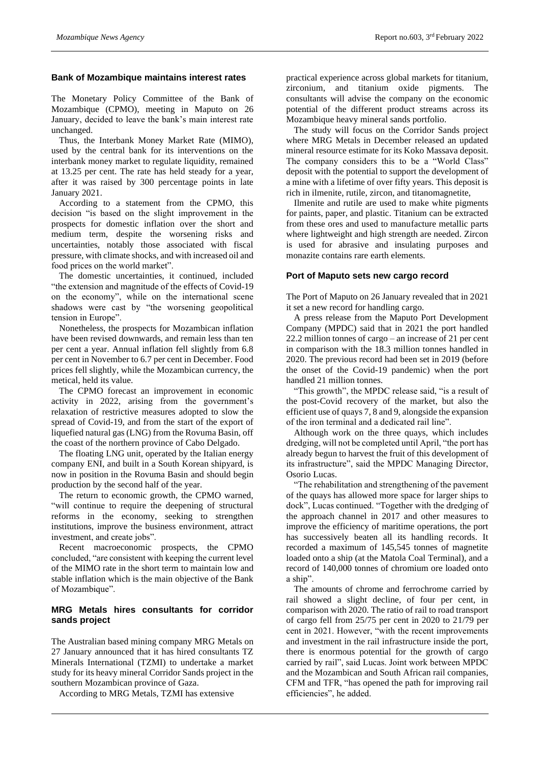#### **Bank of Mozambique maintains interest rates**

The Monetary Policy Committee of the Bank of Mozambique (CPMO), meeting in Maputo on 26 January, decided to leave the bank's main interest rate unchanged.

Thus, the Interbank Money Market Rate (MIMO), used by the central bank for its interventions on the interbank money market to regulate liquidity, remained at 13.25 per cent. The rate has held steady for a year, after it was raised by 300 percentage points in late January 2021.

According to a statement from the CPMO, this decision "is based on the slight improvement in the prospects for domestic inflation over the short and medium term, despite the worsening risks and uncertainties, notably those associated with fiscal pressure, with climate shocks, and with increased oil and food prices on the world market".

The domestic uncertainties, it continued, included "the extension and magnitude of the effects of Covid-19 on the economy", while on the international scene shadows were cast by "the worsening geopolitical tension in Europe".

Nonetheless, the prospects for Mozambican inflation have been revised downwards, and remain less than ten per cent a year. Annual inflation fell slightly from 6.8 per cent in November to 6.7 per cent in December. Food prices fell slightly, while the Mozambican currency, the metical, held its value.

The CPMO forecast an improvement in economic activity in 2022, arising from the government's relaxation of restrictive measures adopted to slow the spread of Covid-19, and from the start of the export of liquefied natural gas (LNG) from the Rovuma Basin, off the coast of the northern province of Cabo Delgado.

The floating LNG unit, operated by the Italian energy company ENI, and built in a South Korean shipyard, is now in position in the Rovuma Basin and should begin production by the second half of the year.

The return to economic growth, the CPMO warned, "will continue to require the deepening of structural reforms in the economy, seeking to strengthen institutions, improve the business environment, attract investment, and create jobs".

Recent macroeconomic prospects, the CPMO concluded, "are consistent with keeping the current level of the MIMO rate in the short term to maintain low and stable inflation which is the main objective of the Bank of Mozambique".

#### **MRG Metals hires consultants for corridor sands project**

The Australian based mining company MRG Metals on 27 January announced that it has hired consultants TZ Minerals International (TZMI) to undertake a market study for its heavy mineral Corridor Sands project in the southern Mozambican province of Gaza.

According to MRG Metals, TZMI has extensive

practical experience across global markets for titanium, zirconium, and titanium oxide pigments. The consultants will advise the company on the economic potential of the different product streams across its Mozambique heavy mineral sands portfolio.

The study will focus on the Corridor Sands project where MRG Metals in December released an updated mineral resource estimate for its Koko Massava deposit. The company considers this to be a "World Class" deposit with the potential to support the development of a mine with a lifetime of over fifty years. This deposit is rich in ilmenite, rutile, zircon, and titanomagnetite,

Ilmenite and rutile are used to make white pigments for paints, paper, and plastic. Titanium can be extracted from these ores and used to manufacture metallic parts where lightweight and high strength are needed. Zircon is used for abrasive and insulating purposes and monazite contains rare earth elements.

#### **Port of Maputo sets new cargo record**

The Port of Maputo on 26 January revealed that in 2021 it set a new record for handling cargo.

A press release from the Maputo Port Development Company (MPDC) said that in 2021 the port handled 22.2 million tonnes of cargo – an increase of 21 per cent in comparison with the 18.3 million tonnes handled in 2020. The previous record had been set in 2019 (before the onset of the Covid-19 pandemic) when the port handled 21 million tonnes.

"This growth", the MPDC release said, "is a result of the post-Covid recovery of the market, but also the efficient use of quays 7, 8 and 9, alongside the expansion of the iron terminal and a dedicated rail line".

Although work on the three quays, which includes dredging, will not be completed until April, "the port has already begun to harvest the fruit of this development of its infrastructure", said the MPDC Managing Director, Osorio Lucas.

"The rehabilitation and strengthening of the pavement of the quays has allowed more space for larger ships to dock", Lucas continued. "Together with the dredging of the approach channel in 2017 and other measures to improve the efficiency of maritime operations, the port has successively beaten all its handling records. It recorded a maximum of 145,545 tonnes of magnetite loaded onto a ship (at the Matola Coal Terminal), and a record of 140,000 tonnes of chromium ore loaded onto a ship".

The amounts of chrome and ferrochrome carried by rail showed a slight decline, of four per cent, in comparison with 2020. The ratio of rail to road transport of cargo fell from 25/75 per cent in 2020 to 21/79 per cent in 2021. However, "with the recent improvements and investment in the rail infrastructure inside the port, there is enormous potential for the growth of cargo carried by rail", said Lucas. Joint work between MPDC and the Mozambican and South African rail companies, CFM and TFR, "has opened the path for improving rail efficiencies", he added.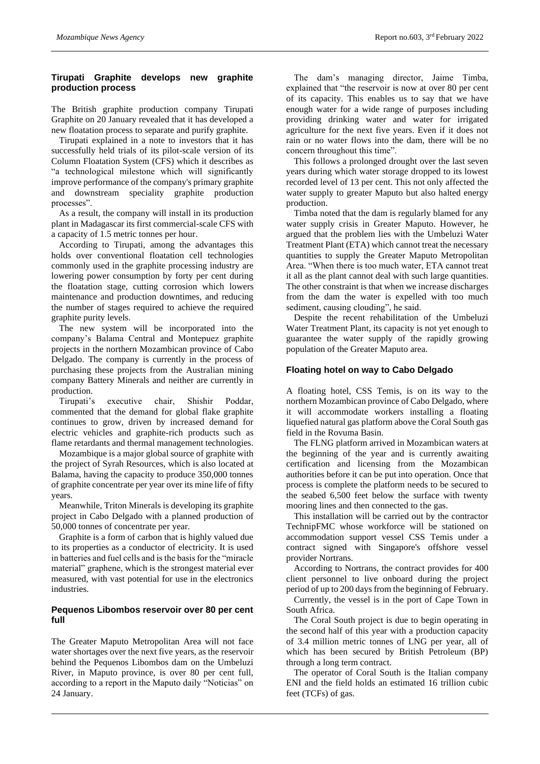# **Tirupati Graphite develops new graphite production process**

The British graphite production company Tirupati Graphite on 20 January revealed that it has developed a new floatation process to separate and purify graphite.

Tirupati explained in a note to investors that it has successfully held trials of its pilot-scale version of its Column Floatation System (CFS) which it describes as "a technological milestone which will significantly improve performance of the company's primary graphite and downstream speciality graphite production processes".

As a result, the company will install in its production plant in Madagascar its first commercial-scale CFS with a capacity of 1.5 metric tonnes per hour.

According to Tirupati, among the advantages this holds over conventional floatation cell technologies commonly used in the graphite processing industry are lowering power consumption by forty per cent during the floatation stage, cutting corrosion which lowers maintenance and production downtimes, and reducing the number of stages required to achieve the required graphite purity levels.

The new system will be incorporated into the company's Balama Central and Montepuez graphite projects in the northern Mozambican province of Cabo Delgado. The company is currently in the process of purchasing these projects from the Australian mining company Battery Minerals and neither are currently in production.

Tirupati's executive chair, Shishir Poddar, commented that the demand for global flake graphite continues to grow, driven by increased demand for electric vehicles and graphite-rich products such as flame retardants and thermal management technologies.

Mozambique is a major global source of graphite with the project of Syrah Resources, which is also located at Balama, having the capacity to produce 350,000 tonnes of graphite concentrate per year over its mine life of fifty years.

Meanwhile, Triton Minerals is developing its graphite project in Cabo Delgado with a planned production of 50,000 tonnes of concentrate per year.

Graphite is a form of carbon that is highly valued due to its properties as a conductor of electricity. It is used in batteries and fuel cells and is the basis for the "miracle material" graphene, which is the strongest material ever measured, with vast potential for use in the electronics industries.

#### **Pequenos Libombos reservoir over 80 per cent full**

The Greater Maputo Metropolitan Area will not face water shortages over the next five years, as the reservoir behind the Pequenos Libombos dam on the Umbeluzi River, in Maputo province, is over 80 per cent full, according to a report in the Maputo daily "Noticias" on 24 January.

The dam's managing director, Jaime Timba, explained that "the reservoir is now at over 80 per cent of its capacity. This enables us to say that we have enough water for a wide range of purposes including providing drinking water and water for irrigated agriculture for the next five years. Even if it does not rain or no water flows into the dam, there will be no concern throughout this time".

This follows a prolonged drought over the last seven years during which water storage dropped to its lowest recorded level of 13 per cent. This not only affected the water supply to greater Maputo but also halted energy production.

Timba noted that the dam is regularly blamed for any water supply crisis in Greater Maputo. However, he argued that the problem lies with the Umbeluzi Water Treatment Plant (ETA) which cannot treat the necessary quantities to supply the Greater Maputo Metropolitan Area. "When there is too much water, ETA cannot treat it all as the plant cannot deal with such large quantities. The other constraint is that when we increase discharges from the dam the water is expelled with too much sediment, causing clouding", he said.

Despite the recent rehabilitation of the Umbeluzi Water Treatment Plant, its capacity is not yet enough to guarantee the water supply of the rapidly growing population of the Greater Maputo area.

# **Floating hotel on way to Cabo Delgado**

A floating hotel, CSS Temis, is on its way to the northern Mozambican province of Cabo Delgado, where it will accommodate workers installing a floating liquefied natural gas platform above the Coral South gas field in the Rovuma Basin.

The FLNG platform arrived in Mozambican waters at the beginning of the year and is currently awaiting certification and licensing from the Mozambican authorities before it can be put into operation. Once that process is complete the platform needs to be secured to the seabed 6,500 feet below the surface with twenty mooring lines and then connected to the gas.

This installation will be carried out by the contractor TechnipFMC whose workforce will be stationed on accommodation support vessel CSS Temis under a contract signed with Singapore's offshore vessel provider Nortrans.

According to Nortrans, the contract provides for 400 client personnel to live onboard during the project period of up to 200 days from the beginning of February.

Currently, the vessel is in the port of Cape Town in South Africa.

The Coral South project is due to begin operating in the second half of this year with a production capacity of 3.4 million metric tonnes of LNG per year, all of which has been secured by British Petroleum (BP) through a long term contract.

The operator of Coral South is the Italian company ENI and the field holds an estimated 16 trillion cubic feet (TCFs) of gas.